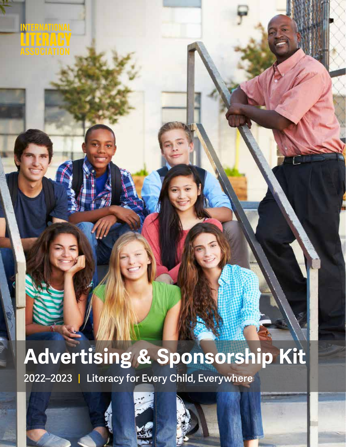INTERNATIONAL<br><u>LITERA</u>CY<br>ASSOCIATION

# **Advertising & Sponsorship Kit**

**2022–2023 | Literacy for Every Child, Everywhere**



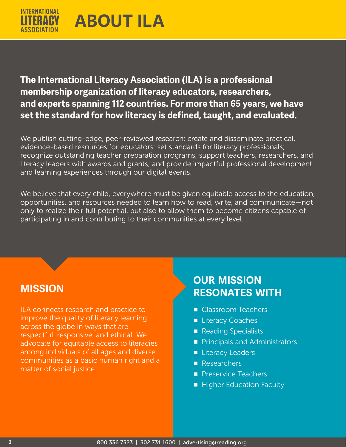

## **The International Literacy Association (ILA) is a professional membership organization of literacy educators, researchers, and experts spanning 112 countries. For more than 65 years, we have set the standard for how literacy is defined, taught, and evaluated.**

We publish cutting-edge, peer-reviewed research; create and disseminate practical, evidence-based resources for educators; set standards for literacy professionals; recognize outstanding teacher preparation programs; support teachers, researchers, and literacy leaders with awards and grants; and provide impactful professional development and learning experiences through our digital events.

We believe that every child, everywhere must be given equitable access to the education, opportunities, and resources needed to learn how to read, write, and communicate—not only to realize their full potential, but also to allow them to become citizens capable of participating in and contributing to their communities at every level.

ILA connects research and practice to improve the quality of literacy learning across the globe in ways that are respectful, responsive, and ethical. We advocate for equitable access to literacies among individuals of all ages and diverse communities as a basic human right and a matter of social justice.

# **OUR MISSION MISSION RESONATES WITH**

- Classroom Teachers
- Literacy Coaches
- Reading Specialists
- Principals and Administrators
- Literacy Leaders
- Researchers
- Preservice Teachers
- Higher Education Faculty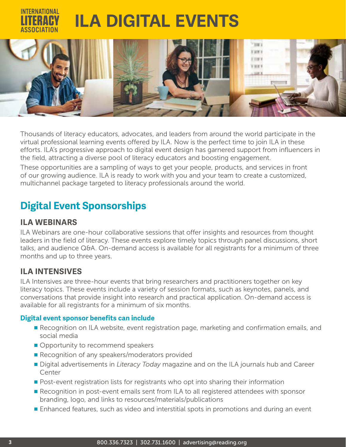# **ILA DIGITAL EVENTS**



Thousands of literacy educators, advocates, and leaders from around the world participate in the virtual professional learning events offered by ILA. Now is the perfect time to join ILA in these efforts. ILA's progressive approach to digital event design has garnered support from influencers in the field, attracting a diverse pool of literacy educators and boosting engagement.

These opportunities are a sampling of ways to get your people, products, and services in front of our growing audience. ILA is ready to work with you and your team to create a customized, multichannel package targeted to literacy professionals around the world.

# **Digital Event Sponsorships**

## **ILA WEBINARS**

ILA Webinars are one-hour collaborative sessions that offer insights and resources from thought leaders in the field of literacy. These events explore timely topics through panel discussions, short talks, and audience Q&A. On-demand access is available for all registrants for a minimum of three months and up to three years.

## **ILA INTENSIVES**

ILA Intensives are three-hour events that bring researchers and practitioners together on key literacy topics. These events include a variety of session formats, such as keynotes, panels, and conversations that provide insight into research and practical application. On-demand access is available for all registrants for a minimum of six months.

### **Digital event sponsor benefits can include**

- Recognition on ILA website, event registration page, marketing and confirmation emails, and social media
- Opportunity to recommend speakers
- Recognition of any speakers/moderators provided
- Digital advertisements in *Literacy Today* magazine and on the ILA journals hub and Career Center
- Post-event registration lists for registrants who opt into sharing their information
- Recognition in post-event emails sent from ILA to all registered attendees with sponsor branding, logo, and links to resources/materials/publications
- Enhanced features, such as video and interstitial spots in promotions and during an event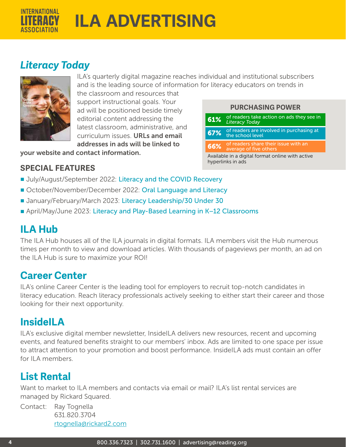

# *Literacy Today*



ILA's quarterly digital magazine reaches individual and institutional subscribers and is the leading source of information for literacy educators on trends in

> **PURCHASING POWER** 61% of readers take action on ads they see in

**67%** of readers are involved in purchasing at the school level

**66%** of readers share their issue with an average of five others Available in a digital format online with active

*Literacy Today*

hyperlinks in ads

the classroom and resources that support instructional goals. Your ad will be positioned beside timely editorial content addressing the latest classroom, administrative, and curriculum issues. URLs and email addresses in ads will be linked to

your website and contact information.

## **SPECIAL FEATURES**

- July/August/September 2022: Literacy and the COVID Recovery
- October/November/December 2022: Oral Language and Literacy
- January/February/March 2023: Literacy Leadership/30 Under 30
- April/May/June 2023: Literacy and Play-Based Learning in K-12 Classrooms

# **ILA Hub**

The [ILA Hub](http://ila.onlinelibrary.wiley.com/hub/) houses all of the ILA journals in digital formats. ILA members visit the Hub numerous times per month to view and download articles. With thousands of pageviews per month, an ad on the ILA Hub is sure to maximize your ROI!

## **Career Center**

ILA's online Career Center is the leading tool for employers to recruit top-notch candidates in literacy education. Reach literacy professionals actively seeking to either start their career and those looking for their next opportunity.

# **InsideILA**

ILA's exclusive digital member newsletter, InsideILA delivers new resources, recent and upcoming events, and featured benefits straight to our members' inbox. Ads are limited to one space per issue to attract attention to your promotion and boost performance. InsideILA ads must contain an offer for II A members.

# **List Rental**

Want to market to ILA members and contacts via email or mail? ILA's list rental services are managed by Rickard Squared.

Contact: Ray Tognella 631.820.3704 [rtognella@rickard2.com](mailto:rtognella%40rickard2.com?subject=)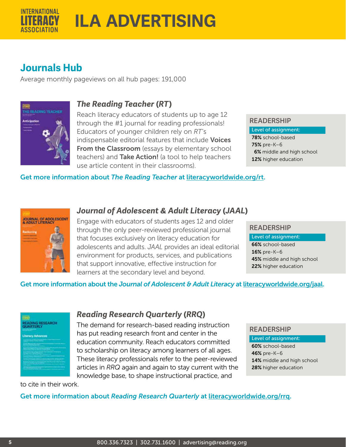

## **Journals Hub**

Average monthly pageviews on all hub pages: 191,000



## *The Reading Teacher* **(***RT***)**

Reach literacy educators of students up to age 12 through the #1 journal for reading professionals! Educators of younger children rely on *RT*'s indispensable editorial features that include **Voices** From the Classroom (essays by elementary school teachers) and Take Action! (a tool to help teachers use article content in their classrooms).

### **READERSHIP**

Level of assignment: 78% school-based 75% pre-K–6 6% middle and high school 12% higher education

Get more information about *The Reading Teacher* at [literacyworldwide.org/](http://www.literacyworldwide.org/RT)rt.



## *Journal of Adolescent & Adult Literacy* **(***JAAL***)**

Engage with educators of students ages 12 and older through the only peer-reviewed professional journal that focuses exclusively on literacy education for adolescents and adults. *JAAL* provides an ideal editorial environment for products, services, and publications that support innovative, effective instruction for learners at the secondary level and beyond.

### **READERSHIP**

Level of assignment: 66% school-based 16% pre-K–6 45% middle and high school 22% higher education

### Get more information about the *Journal of Adolescent & Adult Literacy* at [literacyworldwide.org/j](http://www.literacyworldwide.org/JAAL)aal.

| <b>ATLES</b><br><b>READING RESEARCH</b><br>QUARTERLY<br>___<br><b>Literacy Advances</b> |  |  |  |  |
|-----------------------------------------------------------------------------------------|--|--|--|--|
| <b><i><u>ASSESSED AND ARRESTS AND </u></i></b>                                          |  |  |  |  |
|                                                                                         |  |  |  |  |
|                                                                                         |  |  |  |  |

## *Reading Research Quarterly* **(***RRQ***)**

The demand for research-based reading instruction has put reading research front and center in the education community. Reach educators committed to scholarship on literacy among learners of all ages. These literacy professionals refer to the peer-reviewed articles in *RRQ* again and again to stay current with the knowledge base, to shape instructional practice, and

### **READERSHIP**

Level of assignment:

60% school-based 46% pre-K–6 14% middle and high school 28% higher education

to cite in their work.

Get more information about *Reading Research Quarterly* at [literacyworldwide.org/](http://www.literacyworldwide.org/RRQ)rrq.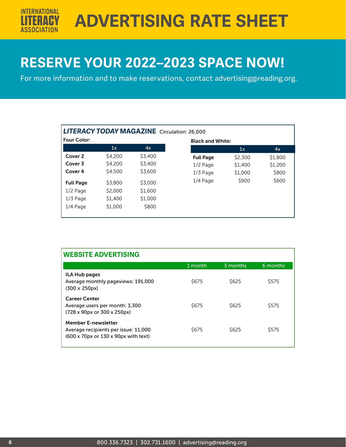**ADVERTISING RATE SHEET**

# **RESERVE YOUR 2022–2023 SPACE NOW!**

For more information and to make reservations, contact [advertising@reading.org.](mailto:advertising%40reading.org?subject=)

| <b>LITERACY TODAY MAGAZINE</b> Circulation: 26,000 |         |         |  |  |  |  |
|----------------------------------------------------|---------|---------|--|--|--|--|
| Four Color:                                        |         |         |  |  |  |  |
|                                                    | 1x      | 4x      |  |  |  |  |
| Cover 2                                            | \$4,200 | \$3,400 |  |  |  |  |
| Cover 3                                            | \$4,200 | \$3,400 |  |  |  |  |
| Cover 4                                            | \$4,500 | \$3,600 |  |  |  |  |
| <b>Full Page</b>                                   | \$3,800 | \$3,000 |  |  |  |  |
| $1/2$ Page                                         | \$2,000 | \$1,600 |  |  |  |  |
| $1/3$ Page                                         | \$1,400 | \$1,000 |  |  |  |  |
| $1/4$ Page                                         | \$1,000 | \$800   |  |  |  |  |
|                                                    |         |         |  |  |  |  |

| <b>WEBSITE ADVERTISING</b>                                                                                          |         |              |              |  |  |  |
|---------------------------------------------------------------------------------------------------------------------|---------|--------------|--------------|--|--|--|
|                                                                                                                     | 1 month | 3 months     | 6 months     |  |  |  |
| ILA Hub pages<br>Average monthly pageviews: 191,000<br>$(300 \times 250 \text{px})$                                 | \$675   | \$625        | \$575        |  |  |  |
| <b>Career Center</b><br>Average users per month: 3,300<br>$(728 \times 90 \text{px or } 300 \times 250 \text{px})$  | S675    | <b>\$625</b> | <b>S575</b>  |  |  |  |
| <b>Member E-newsletter</b><br>Average recipients per issue: 11,000<br>$(600 \times 70)$ px or 130 x 90px with text) | S675    | S625         | <b>\$575</b> |  |  |  |

**INTERNATIONAL**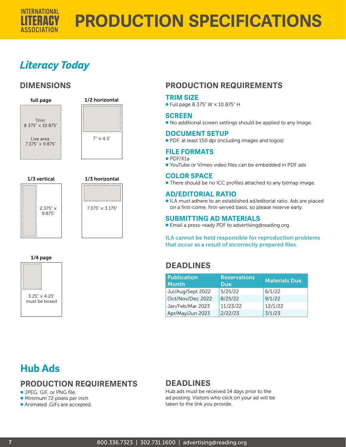

# **PRODUCTION SPECIFICATIONS**

# *Literacy Today*

## **DIMENSIONS**







#### 1/4 page



## **PRODUCTION REQUIREMENTS**

### **TRIM SIZE**

■ Full page 8.375" W × 10.875" H

### **SCREEN**

■ No additional screen settings should be applied to any image.

### **DOCUMENT SETUP**

■ PDF, at least 150 dpi (including images and logos)

### **FILE FORMATS**

- PDF/X1a
- YouTube or Vimeo video files can be embedded in PDF ads

### **COLOR SPACE**

■ There should be no ICC profiles attached to any bitmap image.

### **AD/EDITORIAL RATIO**

■ ILA must adhere to an established ad/editorial ratio. Ads are placed on a first-come, first-served basis, so please reserve early.

### **SUBMITTING AD MATERIALS**

■ Email a press-ready PDF to advertising@reading.org.

ILA cannot be held responsible for reproduction problems that occur as a result of incorrectly prepared files.

### **DEADLINES**

| <b>Publication</b><br><b>Month</b> | <b>Reservations</b><br><b>Due</b> | <b>Materials Due</b> |
|------------------------------------|-----------------------------------|----------------------|
| Jul/Aug/Sept 2022                  | 5/25/22                           | 6/1/22               |
| Oct/Nov/Dec 2022                   | 8/25/22                           | 9/1/22               |
| Jan/Feb/Mar 2023                   | 11/23/22                          | 12/1/22              |
| Apr/May/Jun 2023                   | 2/22/23                           | 3/1/23               |

# **Hub Ads**

## **PRODUCTION REQUIREMENTS**

■ JPEG, GIF, or PNG file.

■ Minimum 72 pixels per inch

■ Animated .GIFs are accepted.

## **DEADLINES**

Hub ads must be received 14 days prior to the ad posting. Visitors who click on your ad will be taken to the link you provide.